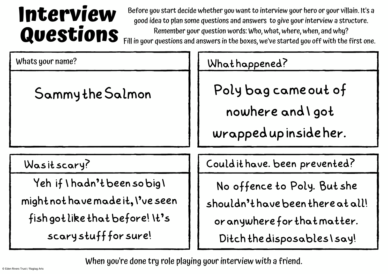## **Interview Questions**

Before you start decide whether you want to interview your hero or your villain. It's a good idea to plan some questions and answers to give yourinterview a structure. Remember your question words: Who, what, where, when, and why? Fill in your questions and answers in the boxes, we've started you off with the first one.

| Whats your name?                                                                                                            | Whathappened?                                                                                                                   |
|-----------------------------------------------------------------------------------------------------------------------------|---------------------------------------------------------------------------------------------------------------------------------|
| Sammy the Salmon                                                                                                            | Poly bag came out of<br>nowhere and I got<br>wrapped up inside her.                                                             |
| Wasitscary?                                                                                                                 | Could it have. been prevented?                                                                                                  |
| Yeh if I hadn't been so big I<br>might not have made it, I've seen<br>fish got like that before! It's<br>scarystuffforsure! | No offence to Poly. But she<br>shouldn't have been there at all!<br>or anywhere for that matter.<br>Ditch the disposables \say! |

When you're done try role playing your interview with a friend.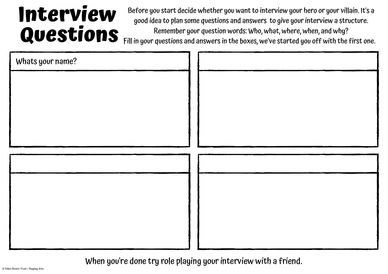## **Interview Questions**

Before you start decide whether you want to interview your hero or your villain. It's a good idea to plan some questions and answers to give yourinterview a structure. Remember your question words: Who, what, where, when, and why?

Fill in your questions and answers in the boxes, we've started you off with the first one.

| Whats your name? |  |
|------------------|--|
|                  |  |
|                  |  |
|                  |  |
|                  |  |
|                  |  |
|                  |  |
|                  |  |
|                  |  |
|                  |  |
|                  |  |
|                  |  |

When you're done try role playing your interview with a friend.